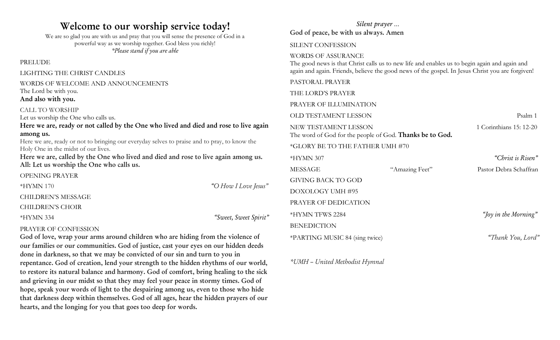# **Welcome to our worship service today!**

We are so glad you are with us and pray that you will sense the presence of God in a powerful way as we worship together. God bless you richly! *\*Please stand if you are able*

PRELUDE

LIGHTING THE CHRIST CANDLES

## WORDS OF WELCOME AND ANNOUNCEMENTS

The Lord be with you.

## **And also with you.** CALL TO WORSHIP

Let us worship the One who calls us.

**Here we are, ready or not called by the One who lived and died and rose to live again among us.**

Here we are, ready or not to bringing our everyday selves to praise and to pray, to know the Holy One in the midst of our lives.

**Here we are, called by the One who lived and died and rose to live again among us. All: Let us worship the One who calls us.**

OPENING PRAYER

\*HYMN 170 *"O How I Love Jesus"* CHILDREN'S MESSAGE CHILDREN'S CHOIR

\*HYMN 334 *"Sweet, Sweet Spirit"*

# PRAYER OF CONFESSION

**God of love, wrap your arms around children who are hiding from the violence of our families or our communities. God of justice, cast your eyes on our hidden deeds done in darkness, so that we may be convicted of our sin and turn to you in repentance. God of creation, lend your strength to the hidden rhythms of our world, to restore its natural balance and harmony. God of comfort, bring healing to the sick and grieving in our midst so that they may feel your peace in stormy times. God of hope, speak your words of light to the despairing among us, even to those who hide that darkness deep within themselves. God of all ages, hear the hidden prayers of our hearts, and the longing for you that goes too deep for words.**

## *Silent prayer …* **God of peace, be with us always. Amen**

#### SILENT CONFESSION

#### WORDS OF ASSURANCE

The good news is that Christ calls us to new life and enables us to begin again and again and again and again. Friends, believe the good news of the gospel. In Jesus Christ you are forgiven!

PASTORAL PRAYER

THE LORD'S PRAYER

PRAYER OF ILLUMINATION

OLD TESTAMENT LESSON Psalm 1

NEW TESTAMENT LESSON 1 Corinthians 15: 12-20 The word of God for the people of God. **Thanks be to God.**

\*GLORY BE TO THE FATHER UMH #70

| *HYMN 307                      |                | "Christ is Risen"      |
|--------------------------------|----------------|------------------------|
| MESSAGE                        | "Amazing Feet" | Pastor Debra Schaffran |
| GIVING BACK TO GOD             |                |                        |
| DOXOLOGY UMH #95               |                |                        |
| PRAYER OF DEDICATION           |                |                        |
| *HYMN TFWS 2284                |                | "Joy in the Morning"   |
| BENEDICTION                    |                |                        |
| *PARTING MUSIC 84 (sing twice) |                | "Thank You, Lord"      |

*\*UMH – United Methodist Hymnal*